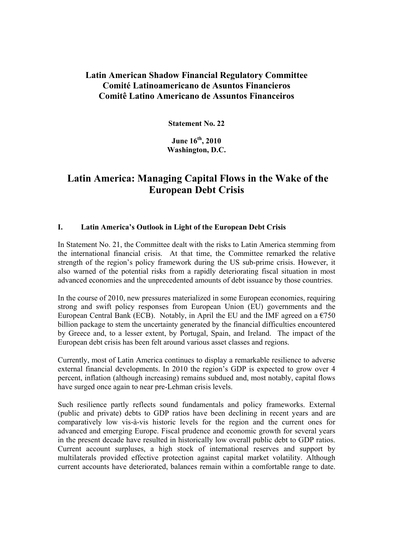# **Latin American Shadow Financial Regulatory Committee Comité Latinoamericano de Asuntos Financieros Comitê Latino Americano de Assuntos Financeiros**

**Statement No. 22** 

**June 16th, 2010 Washington, D.C.** 

# **Latin America: Managing Capital Flows in the Wake of the European Debt Crisis**

### **I. Latin America's Outlook in Light of the European Debt Crisis**

In Statement No. 21, the Committee dealt with the risks to Latin America stemming from the international financial crisis. At that time, the Committee remarked the relative strength of the region's policy framework during the US sub-prime crisis. However, it also warned of the potential risks from a rapidly deteriorating fiscal situation in most advanced economies and the unprecedented amounts of debt issuance by those countries.

In the course of 2010, new pressures materialized in some European economies, requiring strong and swift policy responses from European Union (EU) governments and the European Central Bank (ECB). Notably, in April the EU and the IMF agreed on a  $\epsilon$ 750 billion package to stem the uncertainty generated by the financial difficulties encountered by Greece and, to a lesser extent, by Portugal, Spain, and Ireland. The impact of the European debt crisis has been felt around various asset classes and regions.

Currently, most of Latin America continues to display a remarkable resilience to adverse external financial developments. In 2010 the region's GDP is expected to grow over 4 percent, inflation (although increasing) remains subdued and, most notably, capital flows have surged once again to near pre-Lehman crisis levels.

Such resilience partly reflects sound fundamentals and policy frameworks. External (public and private) debts to GDP ratios have been declining in recent years and are comparatively low vis-à-vis historic levels for the region and the current ones for advanced and emerging Europe. Fiscal prudence and economic growth for several years in the present decade have resulted in historically low overall public debt to GDP ratios. Current account surpluses, a high stock of international reserves and support by multilaterals provided effective protection against capital market volatility. Although current accounts have deteriorated, balances remain within a comfortable range to date.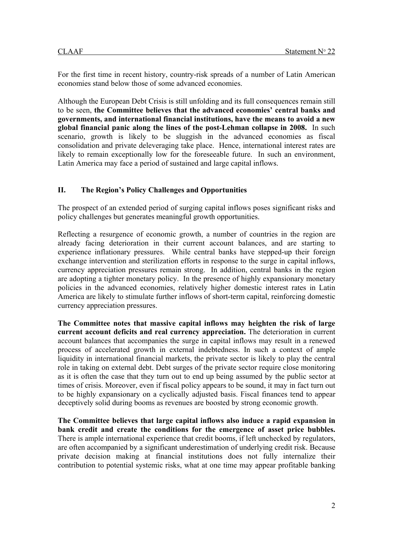For the first time in recent history, country-risk spreads of a number of Latin American economies stand below those of some advanced economies.

Although the European Debt Crisis is still unfolding and its full consequences remain still to be seen, **the Committee believes that the advanced economies' central banks and governments, and international financial institutions, have the means to avoid a new global financial panic along the lines of the post-Lehman collapse in 2008.** In such scenario, growth is likely to be sluggish in the advanced economies as fiscal consolidation and private deleveraging take place. Hence, international interest rates are likely to remain exceptionally low for the foreseeable future. In such an environment, Latin America may face a period of sustained and large capital inflows.

#### **II. The Region's Policy Challenges and Opportunities**

The prospect of an extended period of surging capital inflows poses significant risks and policy challenges but generates meaningful growth opportunities.

Reflecting a resurgence of economic growth, a number of countries in the region are already facing deterioration in their current account balances, and are starting to experience inflationary pressures. While central banks have stepped-up their foreign exchange intervention and sterilization efforts in response to the surge in capital inflows, currency appreciation pressures remain strong. In addition, central banks in the region are adopting a tighter monetary policy. In the presence of highly expansionary monetary policies in the advanced economies, relatively higher domestic interest rates in Latin America are likely to stimulate further inflows of short-term capital, reinforcing domestic currency appreciation pressures.

**The Committee notes that massive capital inflows may heighten the risk of large current account deficits and real currency appreciation.** The deterioration in current account balances that accompanies the surge in capital inflows may result in a renewed process of accelerated growth in external indebtedness. In such a context of ample liquidity in international financial markets, the private sector is likely to play the central role in taking on external debt. Debt surges of the private sector require close monitoring as it is often the case that they turn out to end up being assumed by the public sector at times of crisis. Moreover, even if fiscal policy appears to be sound, it may in fact turn out to be highly expansionary on a cyclically adjusted basis. Fiscal finances tend to appear deceptively solid during booms as revenues are boosted by strong economic growth.

**The Committee believes that large capital inflows also induce a rapid expansion in bank credit and create the conditions for the emergence of asset price bubbles.** There is ample international experience that credit booms, if left unchecked by regulators, are often accompanied by a significant underestimation of underlying credit risk. Because private decision making at financial institutions does not fully internalize their contribution to potential systemic risks, what at one time may appear profitable banking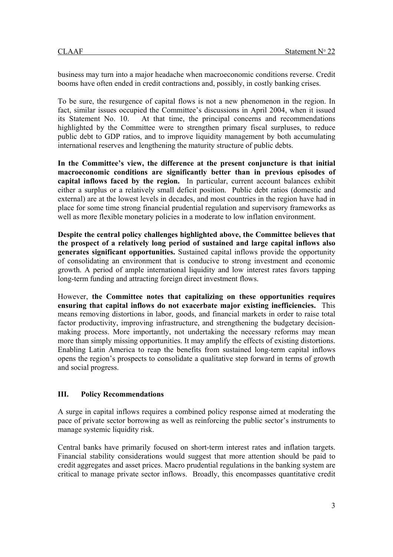business may turn into a major headache when macroeconomic conditions reverse. Credit booms have often ended in credit contractions and, possibly, in costly banking crises.

To be sure, the resurgence of capital flows is not a new phenomenon in the region. In fact, similar issues occupied the Committee's discussions in April 2004, when it issued its Statement No. 10. At that time, the principal concerns and recommendations highlighted by the Committee were to strengthen primary fiscal surpluses, to reduce public debt to GDP ratios, and to improve liquidity management by both accumulating international reserves and lengthening the maturity structure of public debts.

**In the Committee's view, the difference at the present conjuncture is that initial macroeconomic conditions are significantly better than in previous episodes of capital inflows faced by the region.** In particular, current account balances exhibit either a surplus or a relatively small deficit position. Public debt ratios (domestic and external) are at the lowest levels in decades, and most countries in the region have had in place for some time strong financial prudential regulation and supervisory frameworks as well as more flexible monetary policies in a moderate to low inflation environment.

**Despite the central policy challenges highlighted above, the Committee believes that the prospect of a relatively long period of sustained and large capital inflows also generates significant opportunities.** Sustained capital inflows provide the opportunity of consolidating an environment that is conducive to strong investment and economic growth. A period of ample international liquidity and low interest rates favors tapping long-term funding and attracting foreign direct investment flows.

However, **the Committee notes that capitalizing on these opportunities requires ensuring that capital inflows do not exacerbate major existing inefficiencies.** This means removing distortions in labor, goods, and financial markets in order to raise total factor productivity, improving infrastructure, and strengthening the budgetary decisionmaking process. More importantly, not undertaking the necessary reforms may mean more than simply missing opportunities. It may amplify the effects of existing distortions. Enabling Latin America to reap the benefits from sustained long-term capital inflows opens the region's prospects to consolidate a qualitative step forward in terms of growth and social progress.

# **III. Policy Recommendations**

A surge in capital inflows requires a combined policy response aimed at moderating the pace of private sector borrowing as well as reinforcing the public sector's instruments to manage systemic liquidity risk.

Central banks have primarily focused on short-term interest rates and inflation targets. Financial stability considerations would suggest that more attention should be paid to credit aggregates and asset prices. Macro prudential regulations in the banking system are critical to manage private sector inflows. Broadly, this encompasses quantitative credit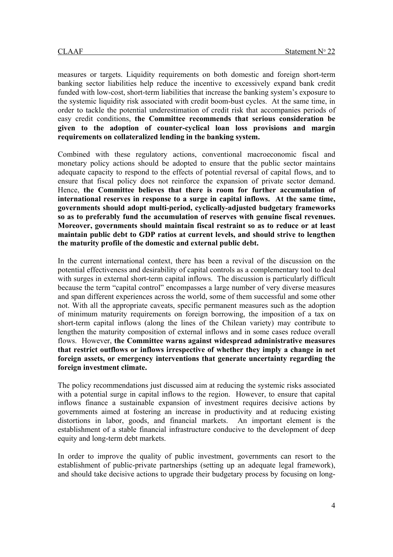measures or targets. Liquidity requirements on both domestic and foreign short-term banking sector liabilities help reduce the incentive to excessively expand bank credit funded with low-cost, short-term liabilities that increase the banking system's exposure to the systemic liquidity risk associated with credit boom-bust cycles. At the same time, in order to tackle the potential underestimation of credit risk that accompanies periods of easy credit conditions, **the Committee recommends that serious consideration be given to the adoption of counter-cyclical loan loss provisions and margin requirements on collateralized lending in the banking system.**

Combined with these regulatory actions, conventional macroeconomic fiscal and monetary policy actions should be adopted to ensure that the public sector maintains adequate capacity to respond to the effects of potential reversal of capital flows, and to ensure that fiscal policy does not reinforce the expansion of private sector demand. Hence, **the Committee believes that there is room for further accumulation of international reserves in response to a surge in capital inflows. At the same time, governments should adopt multi-period, cyclically-adjusted budgetary frameworks so as to preferably fund the accumulation of reserves with genuine fiscal revenues. Moreover, governments should maintain fiscal restraint so as to reduce or at least maintain public debt to GDP ratios at current levels, and should strive to lengthen the maturity profile of the domestic and external public debt.**

In the current international context, there has been a revival of the discussion on the potential effectiveness and desirability of capital controls as a complementary tool to deal with surges in external short-term capital inflows. The discussion is particularly difficult because the term "capital control" encompasses a large number of very diverse measures and span different experiences across the world, some of them successful and some other not. With all the appropriate caveats, specific permanent measures such as the adoption of minimum maturity requirements on foreign borrowing, the imposition of a tax on short-term capital inflows (along the lines of the Chilean variety) may contribute to lengthen the maturity composition of external inflows and in some cases reduce overall flows. However, **the Committee warns against widespread administrative measures that restrict outflows or inflows irrespective of whether they imply a change in net foreign assets, or emergency interventions that generate uncertainty regarding the foreign investment climate.**

The policy recommendations just discussed aim at reducing the systemic risks associated with a potential surge in capital inflows to the region. However, to ensure that capital inflows finance a sustainable expansion of investment requires decisive actions by governments aimed at fostering an increase in productivity and at reducing existing distortions in labor, goods, and financial markets. An important element is the establishment of a stable financial infrastructure conducive to the development of deep equity and long-term debt markets.

In order to improve the quality of public investment, governments can resort to the establishment of public-private partnerships (setting up an adequate legal framework), and should take decisive actions to upgrade their budgetary process by focusing on long